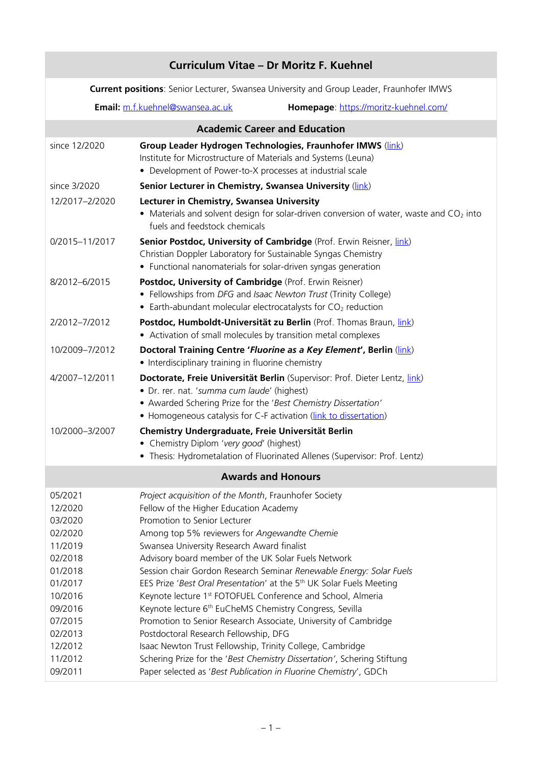| Curriculum Vitae - Dr Moritz F. Kuehnel                                                                                                                                                                                                                                                                                                                                                                                                                                                                                                                                                                                                                                                                                                                                                                                                                                                                                  |  |  |
|--------------------------------------------------------------------------------------------------------------------------------------------------------------------------------------------------------------------------------------------------------------------------------------------------------------------------------------------------------------------------------------------------------------------------------------------------------------------------------------------------------------------------------------------------------------------------------------------------------------------------------------------------------------------------------------------------------------------------------------------------------------------------------------------------------------------------------------------------------------------------------------------------------------------------|--|--|
| Current positions: Senior Lecturer, Swansea University and Group Leader, Fraunhofer IMWS                                                                                                                                                                                                                                                                                                                                                                                                                                                                                                                                                                                                                                                                                                                                                                                                                                 |  |  |
| Email: m.f.kuehnel@swansea.ac.uk<br>Homepage: https://moritz-kuehnel.com/                                                                                                                                                                                                                                                                                                                                                                                                                                                                                                                                                                                                                                                                                                                                                                                                                                                |  |  |
| <b>Academic Career and Education</b>                                                                                                                                                                                                                                                                                                                                                                                                                                                                                                                                                                                                                                                                                                                                                                                                                                                                                     |  |  |
| Group Leader Hydrogen Technologies, Fraunhofer IMWS (link)<br>Institute for Microstructure of Materials and Systems (Leuna)<br>• Development of Power-to-X processes at industrial scale                                                                                                                                                                                                                                                                                                                                                                                                                                                                                                                                                                                                                                                                                                                                 |  |  |
| Senior Lecturer in Chemistry, Swansea University (link)                                                                                                                                                                                                                                                                                                                                                                                                                                                                                                                                                                                                                                                                                                                                                                                                                                                                  |  |  |
| Lecturer in Chemistry, Swansea University<br>• Materials and solvent design for solar-driven conversion of water, waste and $CO2$ into<br>fuels and feedstock chemicals                                                                                                                                                                                                                                                                                                                                                                                                                                                                                                                                                                                                                                                                                                                                                  |  |  |
| Senior Postdoc, University of Cambridge (Prof. Erwin Reisner, link)<br>Christian Doppler Laboratory for Sustainable Syngas Chemistry<br>• Functional nanomaterials for solar-driven syngas generation                                                                                                                                                                                                                                                                                                                                                                                                                                                                                                                                                                                                                                                                                                                    |  |  |
| Postdoc, University of Cambridge (Prof. Erwin Reisner)<br>• Fellowships from DFG and Isaac Newton Trust (Trinity College)<br>• Earth-abundant molecular electrocatalysts for CO <sub>2</sub> reduction                                                                                                                                                                                                                                                                                                                                                                                                                                                                                                                                                                                                                                                                                                                   |  |  |
| Postdoc, Humboldt-Universität zu Berlin (Prof. Thomas Braun, link)<br>• Activation of small molecules by transition metal complexes                                                                                                                                                                                                                                                                                                                                                                                                                                                                                                                                                                                                                                                                                                                                                                                      |  |  |
| Doctoral Training Centre 'Fluorine as a Key Element', Berlin (link)<br>• Interdisciplinary training in fluorine chemistry                                                                                                                                                                                                                                                                                                                                                                                                                                                                                                                                                                                                                                                                                                                                                                                                |  |  |
| Doctorate, Freie Universität Berlin (Supervisor: Prof. Dieter Lentz, link)<br>· Dr. rer. nat. 'summa cum laude' (highest)<br>• Awarded Schering Prize for the 'Best Chemistry Dissertation'<br>• Homogeneous catalysis for C-F activation (link to dissertation)                                                                                                                                                                                                                                                                                                                                                                                                                                                                                                                                                                                                                                                         |  |  |
| Chemistry Undergraduate, Freie Universität Berlin<br>Chemistry Diplom 'very good' (highest)<br>• Thesis: Hydrometalation of Fluorinated Allenes (Supervisor: Prof. Lentz)                                                                                                                                                                                                                                                                                                                                                                                                                                                                                                                                                                                                                                                                                                                                                |  |  |
| <b>Awards and Honours</b>                                                                                                                                                                                                                                                                                                                                                                                                                                                                                                                                                                                                                                                                                                                                                                                                                                                                                                |  |  |
| Project acquisition of the Month, Fraunhofer Society<br>Fellow of the Higher Education Academy<br>Promotion to Senior Lecturer<br>Among top 5% reviewers for Angewandte Chemie<br>Swansea University Research Award finalist<br>Advisory board member of the UK Solar Fuels Network<br>Session chair Gordon Research Seminar Renewable Energy: Solar Fuels<br>EES Prize 'Best Oral Presentation' at the 5 <sup>th</sup> UK Solar Fuels Meeting<br>Keynote lecture 1 <sup>st</sup> FOTOFUEL Conference and School, Almeria<br>Keynote lecture 6 <sup>th</sup> EuCheMS Chemistry Congress, Sevilla<br>Promotion to Senior Research Associate, University of Cambridge<br>Postdoctoral Research Fellowship, DFG<br>Isaac Newton Trust Fellowship, Trinity College, Cambridge<br>Schering Prize for the 'Best Chemistry Dissertation', Schering Stiftung<br>Paper selected as 'Best Publication in Fluorine Chemistry', GDCh |  |  |
|                                                                                                                                                                                                                                                                                                                                                                                                                                                                                                                                                                                                                                                                                                                                                                                                                                                                                                                          |  |  |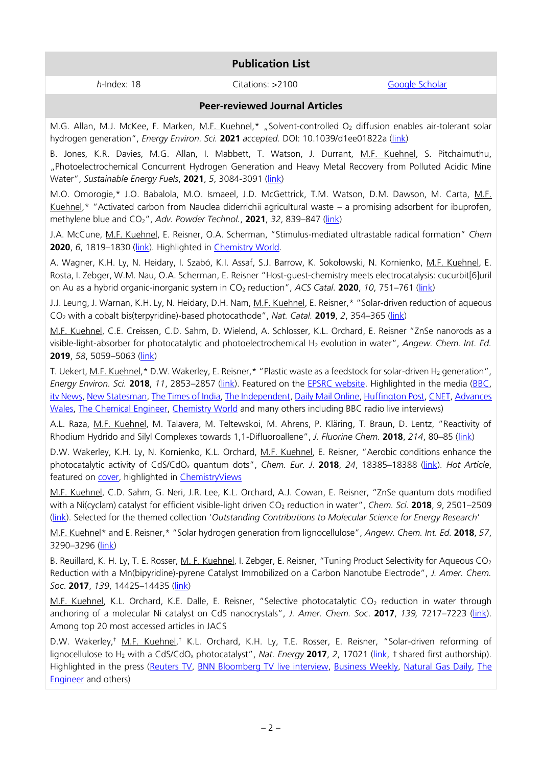# **Publication List**

*h*-Index: 18 Citations: >2100 [Google Scholar](https://scholar.google.com/citations?hl=en&user=gTYeFoQAAAAJ&view_op=list_works&sortby=pubdate)

### **Peer-reviewed Journal Articles**

M.G. Allan, M.J. McKee, F. Marken, M.F. Kuehnel,\* "Solvent-controlled O<sub>2</sub> diffusion enables air-tolerant solar hydrogen generation", *Energy Environ. Sci.* **2021** *accepted.* DOI: 10.1039/d1ee01822a [\(link\)](http://dx.doi.org/10.1039/d1ee01822a)

B. Jones, K.R. Davies, M.G. Allan, I. Mabbett, T. Watson, J. Durrant, M.F. Kuehnel, S. Pitchaimuthu, "Photoelectrochemical Concurrent Hydrogen Generation and Heavy Metal Recovery from Polluted Acidic Mine Water", *Sustainable Energy Fuels*, **2021**, *5*, 3084-3091 [\(link\)](https://doi.org/10.1039/D1SE00232E)

M.O. Omorogie,\* J.O. Babalola, M.O. Ismaeel, J.D. McGettrick, T.M. Watson, D.M. Dawson, M. Carta, M.F. Kuehnel,\* "Activated carbon from Nauclea diderrichii agricultural waste – a promising adsorbent for ibuprofen, methylene blue and CO2", *Adv. Powder Technol.*, **2021**, *32*, 839–847 [\(link\)](https://www.sciencedirect.com/science/article/pii/S0921883121000522)

J.A. McCune, M.F. Kuehnel, E. Reisner, O.A. Scherman, "Stimulus-mediated ultrastable radical formation" *Chem* **2020**, *6*, 1819–1830 [\(link\)](https://dx.doi.org/10.1016/j.chempr.2020.05.005). Highlighted in [Chemistry World.](https://www.chemistryworld.com/news/bright-blue-radical-lives-on-for-months-in-chicken-feed-and-urea-solution/4012077.article)

A. Wagner, K.H. Ly, N. Heidary, I. Szabó, K.I. Assaf, S.J. Barrow, K. Sokołowski, N. Kornienko, M.F. Kuehnel, E. Rosta, I. Zebger, W.M. Nau, O.A. Scherman, E. Reisner "Host-guest-chemistry meets electrocatalysis: cucurbit[6]uril on Au as a hybrid organic-inorganic system in CO<sub>2</sub> reduction", *ACS Catal.* **2020**, 10, 751–761 [\(link\)](https://doi.org/10.1021/acscatal.9b04221)

J.J. Leung, J. Warnan, K.H. Ly, N. Heidary, D.H. Nam, M.F. Kuehnel, E. Reisner,\* "Solar-driven reduction of aqueous CO<sup>2</sup> with a cobalt bis(terpyridine)-based photocathode", *Nat. Catal.* **2019**, *2*, 354–365 [\(link\)](http://dx.doi.org/10.1038/s41929-019-0254-2)

M.F. Kuehnel, C.E. Creissen, C.D. Sahm, D. Wielend, A. Schlosser, K.L. Orchard, E. Reisner "ZnSe nanorods as a visible-light-absorber for photocatalytic and photoelectrochemical H<sup>2</sup> evolution in water", *Angew. Chem. Int. Ed.* **2019**, *58*, 5059–5063 [\(link\)](https://doi.org/10.1002/anie.201814265)

T. Uekert, M.F. Kuehnel,\* D.W. Wakerley, E. Reisner,\* "Plastic waste as a feedstock for solar-driven H<sub>2</sub> generation", *Energy Environ. Sci.* **2018**, *11*, 2853–2857 [\(link\)](https://www.dropbox.com/s/qimzsmktg08mwzt/document.pdf?dl=0). Featured on the [EPSRC website.](https://epsrc.ukri.org/newsevents/news/turning-waste-plastics-into-hydrogen-ignites-media-interest/) Highlighted in the media [\(BBC,](https://www.bbc.co.uk/news/uk-wales-45028705) [itv News,](https://www.itv.com/news/2018-09-03/plastic-waste-could-fuel-cars-of-the-future/) [New Statesman,](https://www.newstatesman.com/spotlight/energy/2018/11/plastic-energy-how-rubbish-idea-could-be-great-one) [The Times of India,](https://timesofindia.indiatimes.com/home/science/plastic-waste-could-power-cars/articleshow/65680058.cms) [The Independent,](https://www.independent.co.uk/life-style/gadgets-and-tech/news/plastic-waste-fuel-renewable-environment-recycling-swansea-university-a8520956.html) [Daily Mail Online,](https://www.dailymail.co.uk/sciencetech/article-6126747/Plastic-waste-fuel-cars-future.html) [Huffington Post,](https://www.huffingtonpost.co.uk/entry/plastic-bottles-could-be-used-to-fuel-cars-in-the-future_uk_5b8ceec1e4b0cf7b0037bed6) [CNET,](https://www.cnet.com/news/plastic-waste-could-be-used-to-fuel-hydrogen-cars/) [Advances](https://businesswales.gov.wales/innovation/sites/innovation/files/documents/Issue%2087_0.pdf)  [Wales,](https://businesswales.gov.wales/innovation/sites/innovation/files/documents/Issue%2087_0.pdf) [The Chemical Engineer,](https://www.thechemicalengineer.com/news/producing-hydrogen-from-plastic-waste/) [Chemistry World](https://www.chemistryworld.com/news/sunlight-converts-plastic-waste-to-hydrogen-fuel/3009467.article) and many others including BBC radio live interviews)

A.L. Raza, M.F. Kuehnel, M. Talavera, M. Teltewskoi, M. Ahrens, P. Kläring, T. Braun, D. Lentz, "Reactivity of Rhodium Hydrido and Silyl Complexes towards 1,1-Difluoroallene", *J. Fluorine Chem.* **2018**, *214*, 80–85 [\(link\)](https://doi.org/10.1016/j.jfluchem.2018.08.002)

D.W. Wakerley, K.H. Ly, N. Kornienko, K.L. Orchard, M.F. Kuehnel, E. Reisner, "Aerobic conditions enhance the photocatalytic activity of CdS/CdO<sup>x</sup> quantum dots", *Chem. Eur. J*. **2018**, *24*, 18385–18388 [\(link\)](http://dx.doi.org/10.1002/chem.201802353). *Hot Article*, featured on [cover,](https://onlinelibrary.wiley.com/doi/full/10.1002/chem.201805321) highlighted in [ChemistryViews](https://www.chemistryviews.org/details/ezine/11082737/Rapid_Hydrogen_Evolution_using_Oxidized_Quantum_Dots.html)

M.F. Kuehnel, C.D. Sahm, G. Neri, J.R. Lee, K.L. Orchard, A.J. Cowan, E. Reisner, "ZnSe quantum dots modified with a Ni(cyclam) catalyst for efficient visible-light driven CO<sub>2</sub> reduction in water", *Chem. Sci.* **2018**, 9, 2501–2509 [\(link](http://dx.doi.org/10.1039/C7SC04429A)). Selected for the themed collection '*Outstanding Contributions to Molecular Science for Energy Research*'

M.F. Kuehnel\* and E. Reisner,\* "Solar hydrogen generation from lignocellulose", *Angew. Chem. Int. Ed.* **2018**, *57*, 3290–3296 [\(link\)](http://dx.doi.org/10.1002/anie.201710133)

B. Reuillard, K. H. Ly, T. E. Rosser, M. F. Kuehnel, I. Zebger, E. Reisner, "Tuning Product Selectivity for Aqueous CO<sub>2</sub> Reduction with a Mn(bipyridine)-pyrene Catalyst Immobilized on a Carbon Nanotube Electrode", *J. Amer. Chem. Soc*. **2017**, *139*, 14425–14435 [\(link\)](http://pubs.acs.org/doi/10.1021/jacs.7b06269)

M.F. Kuehnel, K.L. Orchard, K.E. Dalle, E. Reisner, "Selective photocatalytic CO<sub>2</sub> reduction in water through anchoring of a molecular Ni catalyst on CdS nanocrystals", *J. Amer. Chem. Soc*. **2017**, *139,* 7217–7223 [\(link\)](http://pubs.acs.org/doi/abs/10.1021/jacs.7b00369). Among top 20 most accessed articles in JACS

D.W. Wakerley,† <u>M.F. Kuehnel,</u>† K.L. Orchard, K.H. Ly, T.E. Rosser, E. Reisner, "Solar-driven reforming of lignocellulose to H<sub>2</sub> with a CdS/CdO<sub>x</sub> photocatalyst", *Nat. Energy* 2017, 2, 17021 [\(link](https://www.nature.com/articles/nenergy201721), † shared first authorship). Highlighted in the press [\(Reuters TV,](http://www.reuters.com/video/2017/04/13/scientists-turn-garbage-into-hydrogen-us?videoId=371485833) [BNN Bloomberg TV](http://www.bnn.ca/video/cambridge-researchers-use-power-of-the-sun-to-make-hydrogen~1114558) live interview, [Business Weekly,](http://www.businessweekly.co.uk/news/cleantech/scientists-leverage-solar-power-produce-clean-hydrogen-biomass) [Natural Gas Daily,](https://www.dropbox.com/s/op9xtush4qmjjd9/NGD_270317_1490621154.pdf?dl=0) [The](https://www.theengineer.co.uk/sun-shines-on-uk-developed-hydrogen-production-process/?cmpid=tenews_3199353)  [Engineer](https://www.theengineer.co.uk/sun-shines-on-uk-developed-hydrogen-production-process/?cmpid=tenews_3199353) and others)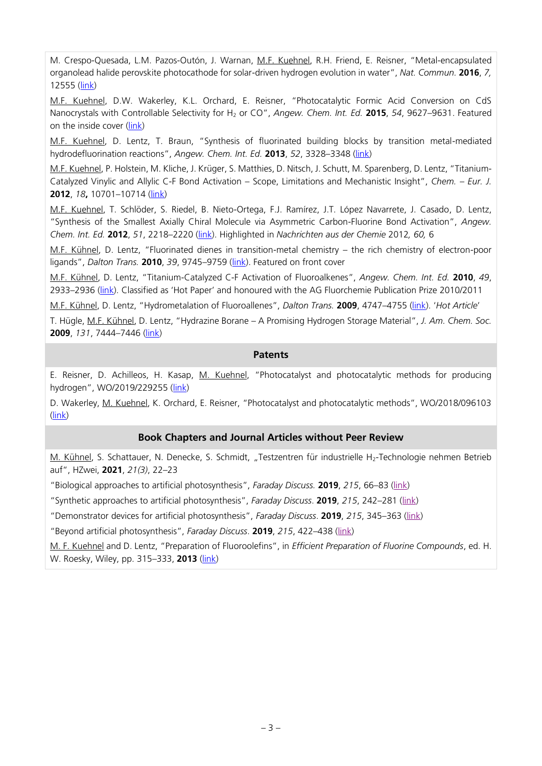M. Crespo-Quesada, L.M. Pazos-Outón, J. Warnan, M.F. Kuehnel, R.H. Friend, E. Reisner, "Metal-encapsulated organolead halide perovskite photocathode for solar-driven hydrogen evolution in water", *Nat. Commun.* **2016**, *7,*  12555 [\(link\)](http://dx.doi.org/10.1038/NCOMMS12555)

M.F. Kuehnel, D.W. Wakerley, K.L. Orchard, E. Reisner, "Photocatalytic Formic Acid Conversion on CdS Nanocrystals with Controllable Selectivity for H<sup>2</sup> or CO", *Angew. Chem. Int. Ed.* **2015**, *54*, 9627–9631. Featured on the inside cover [\(link\)](http://onlinelibrary.wiley.com/doi/10.1002/anie.201502773/abstract)

M.F. Kuehnel, D. Lentz, T. Braun, "Synthesis of fluorinated building blocks by transition metal-mediated hydrodefluorination reactions", *Angew. Chem. Int. Ed.* **2013**, *52*, 3328–3348 [\(link\)](http://dx.doi.org/10.1002/anie.201205260)

M.F. Kuehnel, P. Holstein, M. Kliche, J. Krüger, S. Matthies, D. Nitsch, J. Schutt, M. Sparenberg, D. Lentz, "Titanium-Catalyzed Vinylic and Allylic C-F Bond Activation – Scope, Limitations and Mechanistic Insight", *Chem. – Eur. J.*  **2012**, *18***,** 10701–10714 [\(link\)](http://dx.doi.org/10.1002/chem.201201125)

M.F. Kuehnel, T. Schlöder, S. Riedel, B. Nieto-Ortega, F.J. Ramírez, J.T. López Navarrete, J. Casado, D. Lentz, "Synthesis of the Smallest Axially Chiral Molecule via Asymmetric Carbon-Fluorine Bond Activation", *Angew. Chem. Int. Ed.* **2012**, *51*, 2218–2220 [\(link\)](http://dx.doi.org/10.1002/anie.201108105). Highlighted in *Nachrichten aus der Chemie* 2012*, 60,* 6

M.F. Kühnel, D. Lentz, "Fluorinated dienes in transition-metal chemistry – the rich chemistry of electron-poor ligands", *Dalton Trans.* **2010**, *39*, 9745–9759 [\(link\)](http://dx.doi.org/10.1039/C0DT00097C). Featured on front cover

M.F. Kühnel, D. Lentz, "Titanium-Catalyzed C-F Activation of Fluoroalkenes", *Angew. Chem. Int. Ed.* **2010**, *49*, 2933–2936 [\(link](http://dx.doi.org/10.1002/anie.200907162)). Classified as 'Hot Paper' and honoured with the AG Fluorchemie Publication Prize 2010/2011

M.F. Kühnel, D. Lentz, "Hydrometalation of Fluoroallenes", *Dalton Trans.* **2009**, 4747–4755 [\(link](http://dx.doi.org/10.1039/B903300A)). '*Hot Article*'

T. Hügle, M.F. Kühnel, D. Lentz, "Hydrazine Borane – A Promising Hydrogen Storage Material", *J. Am. Chem. Soc.*  **2009**, *131*, 7444–7446 [\(link\)](http://dx.doi.org/10.1021/ja9013437)

### **Patents**

E. Reisner, D. Achilleos, H. Kasap, M. Kuehnel, "Photocatalyst and photocatalytic methods for producing hydrogen", WO/2019/229255 ([link\)](https://patentscope.wipo.int/search/en/detail.jsf?docId=WO2019229255&tab=PCTBIBLIO)

D. Wakerley, M. Kuehnel, K. Orchard, E. Reisner, "Photocatalyst and photocatalytic methods", WO/2018/096103 [\(link\)](https://patentscope.wipo.int/search/en/detail.jsf?docId=WO2018096103)

#### **Book Chapters and Journal Articles without Peer Review**

M. Kühnel, S. Schattauer, N. Denecke, S. Schmidt, "Testzentren für industrielle H2-Technologie nehmen Betrieb auf", HZwei, **2021**, *21(3)*, 22–23

"Biological approaches to artificial photosynthesis", *Faraday Discuss.* **2019**, *215*, 66–83 [\(link\)](https://pubs.rsc.org/doi/c9fd90026h)

"Synthetic approaches to artificial photosynthesis", *Faraday Discuss*. **2019**, *215*, 242–281 [\(link\)](https://pubs.rsc.org/doi/c9fd90024a)

"Demonstrator devices for artificial photosynthesis", *Faraday Discuss*. **2019**, *215*, 345–363 [\(link\)](https://pubs.rsc.org/doi/c9fd90023c)

"Beyond artificial photosynthesis", *Faraday Discuss*. **2019**, *215*, 422–438 [\(link\)](https://doi.org/10.1039/C9FD90022E)

M. F. Kuehnel and D. Lentz, "Preparation of Fluoroolefins", in *Efficient Preparation of Fluorine Compounds*, ed. H. W. Roesky, Wiley, pp. 315–333, **2013** [\(link\)](http://onlinelibrary.wiley.com/doi/10.1002/9781118409466.ch50/summary)